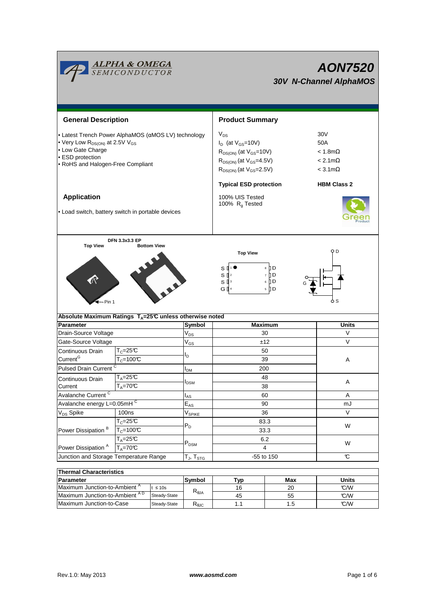

| <b>Thermal Characteristics</b>           |              |                        |    |     |       |  |  |  |  |
|------------------------------------------|--------------|------------------------|----|-----|-------|--|--|--|--|
| Parameter                                |              | <b>Svmbol</b><br>⊤ур   |    | Max | Units |  |  |  |  |
| Maximum Junction-to-Ambient <sup>A</sup> | ≤ 10s        |                        | 16 | 20  | C/M   |  |  |  |  |
| Maximum Junction-to-Ambient AD           | Steady-State | $R_{\theta$ JA         | 45 | 55  | C/W   |  |  |  |  |
| Maximum Junction-to-Case                 | Steady-State | $R_{\theta \text{JC}}$ |    | 1.5 | C/M   |  |  |  |  |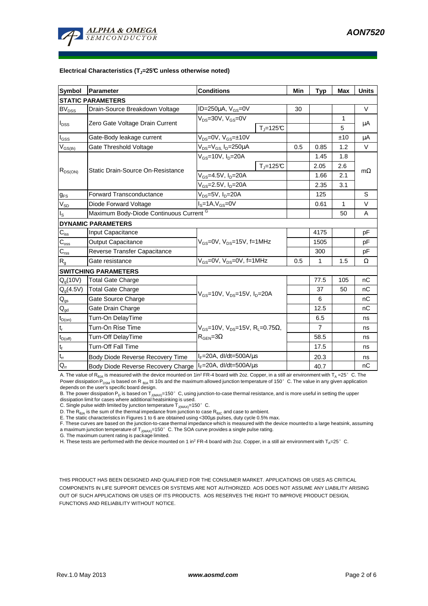

#### **Electrical Characteristics (TJ=25°C unless otherwise noted)**

| Symbol                         | Parameter                                | <b>Conditions</b>                                                                           |                                   | Min | <b>Typ</b>     | Max          | <b>Units</b> |  |  |  |  |
|--------------------------------|------------------------------------------|---------------------------------------------------------------------------------------------|-----------------------------------|-----|----------------|--------------|--------------|--|--|--|--|
| <b>STATIC PARAMETERS</b>       |                                          |                                                                                             |                                   |     |                |              |              |  |  |  |  |
| BV <sub>DSS</sub>              | Drain-Source Breakdown Voltage           | ID=250 $\mu$ A, V <sub>GS</sub> =0V                                                         |                                   | 30  |                |              | $\vee$       |  |  |  |  |
| $I_{DSS}$                      |                                          | $V_{DS}$ =30V, $V_{GS}$ =0V                                                                 |                                   |     |                | 1            |              |  |  |  |  |
|                                | Zero Gate Voltage Drain Current          |                                                                                             | $T_i = 125C$                      |     |                | 5            | μA           |  |  |  |  |
| $I_{GSS}$                      | Gate-Body leakage current                | $V_{DS} = 0V$ , $V_{GS} = \pm 10V$                                                          |                                   |     |                | ±10          | μA           |  |  |  |  |
| $\mathsf{V}_{\mathsf{GS(th)}}$ | Gate Threshold Voltage                   | $V_{DS} = V_{GS}$ , $I_D = 250 \mu A$                                                       |                                   | 0.5 | 0.85           | 1.2          | $\vee$       |  |  |  |  |
| $R_{DS(ON)}$                   | <b>Static Drain-Source On-Resistance</b> | $V_{\text{gs}}$ =10V, I <sub>n</sub> =20A                                                   |                                   |     | 1.45           | 1.8          |              |  |  |  |  |
|                                |                                          |                                                                                             | $T_i = 125C$                      |     | 2.05           | 2.6          |              |  |  |  |  |
|                                |                                          | $V_{GS}$ =4.5V, $I_D$ =20A                                                                  |                                   |     | 1.66           | 2.1          | $m\Omega$    |  |  |  |  |
|                                |                                          | $V_{GS}$ =2.5V, $I_D$ =20A                                                                  |                                   |     | 2.35           | 3.1          |              |  |  |  |  |
| $g_{FS}$                       | <b>Forward Transconductance</b>          | V <sub>DS</sub> =5V, I <sub>D</sub> =20A                                                    |                                   |     | 125            |              | S            |  |  |  |  |
| $V_{SD}$                       | Diode Forward Voltage                    | $IS=1A, VGS=0V$                                                                             |                                   |     | 0.61           | $\mathbf{1}$ | $\vee$       |  |  |  |  |
| ı <sub>s</sub>                 | Maximum Body-Diode Continuous Current G  |                                                                                             |                                   |     |                | 50           | A            |  |  |  |  |
|                                | <b>DYNAMIC PARAMETERS</b>                |                                                                                             |                                   |     |                |              |              |  |  |  |  |
| $C_{iss}$                      | Input Capacitance                        | $V_{GS}$ =0V, $V_{DS}$ =15V, f=1MHz                                                         |                                   |     | 4175           |              | pF           |  |  |  |  |
| $C_{\rm oss}$                  | <b>Output Capacitance</b>                |                                                                                             |                                   |     | 1505           |              | pF           |  |  |  |  |
| $C_{\rm rss}$                  | Reverse Transfer Capacitance             |                                                                                             |                                   |     | 300            |              | pF           |  |  |  |  |
| R <sub>g</sub>                 | Gate resistance                          | $V_{GS}$ =0V, $V_{DS}$ =0V, f=1MHz                                                          |                                   | 0.5 | 1              | 1.5          | Ω            |  |  |  |  |
|                                | <b>SWITCHING PARAMETERS</b>              |                                                                                             |                                   |     |                |              |              |  |  |  |  |
| $Q_q(10V)$                     | Total Gate Charge                        | $V_{GS}$ =10V, $V_{DS}$ =15V, $I_{D}$ =20A                                                  |                                   |     | 77.5           | 105          | nC           |  |  |  |  |
| $Q_g(4.5V)$                    | <b>Total Gate Charge</b>                 |                                                                                             |                                   |     | 37             | 50           | nC           |  |  |  |  |
| $\mathsf{Q}_{\mathsf{gs}}$     | Gate Source Charge                       |                                                                                             |                                   |     | 6              |              | nC           |  |  |  |  |
| $\mathsf{Q}_{\text{gd}}$       | Gate Drain Charge                        |                                                                                             |                                   |     | 12.5           |              | nC           |  |  |  |  |
| $t_{D(on)}$                    | Turn-On DelayTime                        | $V_{GS}$ =10V, $V_{DS}$ =15V, R <sub>L</sub> =0.75 $\Omega$ ,<br>$R_{\text{GEN}} = 3\Omega$ |                                   |     | 6.5            |              | ns           |  |  |  |  |
| $t_r$                          | Turn-On Rise Time                        |                                                                                             |                                   |     | $\overline{7}$ |              | ns           |  |  |  |  |
| $t_{D(off)}$                   | Turn-Off DelayTime                       |                                                                                             |                                   |     | 58.5           |              | ns           |  |  |  |  |
| $t_f$                          | <b>Turn-Off Fall Time</b>                |                                                                                             |                                   |     | 17.5           |              | ns           |  |  |  |  |
| $t_{rr}$                       | Body Diode Reverse Recovery Time         | $I_F = 20A$ , dl/dt=500A/ $\mu$ s                                                           |                                   |     | 20.3           |              | ns           |  |  |  |  |
| $Q_{rr}$                       | Body Diode Reverse Recovery Charge       |                                                                                             | $I_F = 20A$ , dl/dt=500A/ $\mu$ s |     | 40.7           |              | nC           |  |  |  |  |

A. The value of  $R_{\theta JA}$  is measured with the device mounted on 1in<sup>2</sup> FR-4 board with 2oz. Copper, in a still air environment with T<sub>A</sub> =25°C. The Power dissipation P<sub>DSM</sub> is based on R <sub>θJA</sub> t≤ 10s and the maximum allowed junction temperature of 150°C. The value in any given application depends on the user's specific board design.

B. The power dissipation P<sub>D</sub> is based on  $\overline{T}_{J(MAX)}$ =150°C, using junction-to-case thermal resistance, and is more useful in setting the upper dissipation limit for cases where additional heatsinking is used.

C. Single pulse width limited by junction temperature  $\overline{T}_{J(MAX)}$ =150°C.

D. The  $R_{\theta JA}$  is the sum of the thermal impedance from junction to case  $R_{\theta JC}$  and case to ambient.

E. The static characteristics in Figures 1 to 6 are obtained using <300µs pulses, duty cycle 0.5% max.<br>F. These curves are based on the junction-to-case thermal impedance which is measured with the device mounted to a larg a maximum junction temperature of  $T_{J(MAX)}$ =150° C. The SOA curve provides a single pulse rating.

G. The maximum current rating is package limited.

H. These tests are performed with the device mounted on 1 in<sup>2</sup> FR-4 board with 2oz. Copper, in a still air environment with T<sub>A</sub>=25°C.

THIS PRODUCT HAS BEEN DESIGNED AND QUALIFIED FOR THE CONSUMER MARKET. APPLICATIONS OR USES AS CRITICAL COMPONENTS IN LIFE SUPPORT DEVICES OR SYSTEMS ARE NOT AUTHORIZED. AOS DOES NOT ASSUME ANY LIABILITY ARISING OUT OF SUCH APPLICATIONS OR USES OF ITS PRODUCTS. AOS RESERVES THE RIGHT TO IMPROVE PRODUCT DESIGN, FUNCTIONS AND RELIABILITY WITHOUT NOTICE.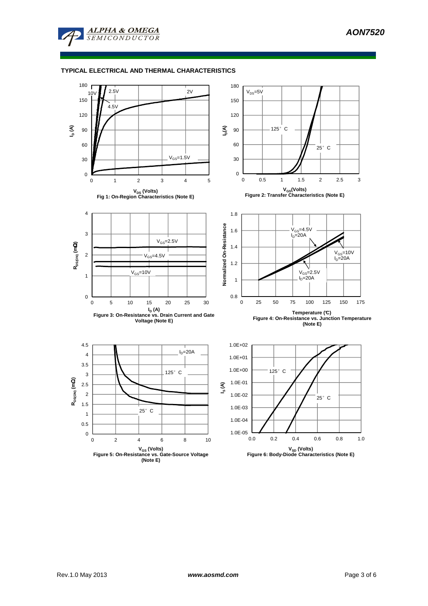

## **TYPICAL ELECTRICAL AND THERMAL CHARACTERISTICS**

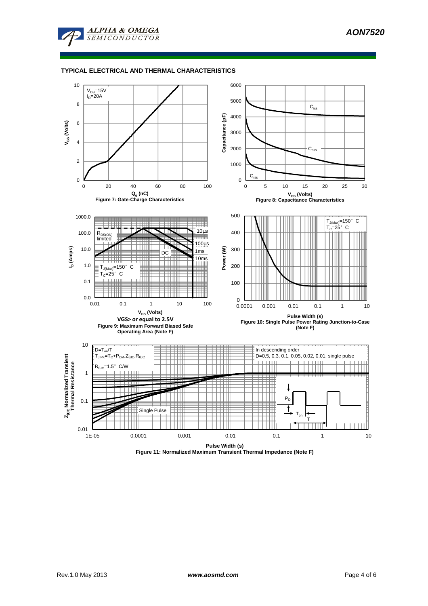

### **TYPICAL ELECTRICAL AND THERMAL CHARACTERISTICS**



**Figure 11: Normalized Maximum Transient Thermal Impedance (Note F)**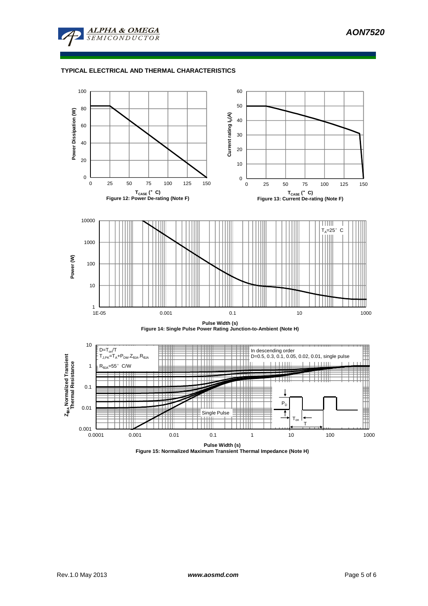

## **TYPICAL ELECTRICAL AND THERMAL CHARACTERISTICS**